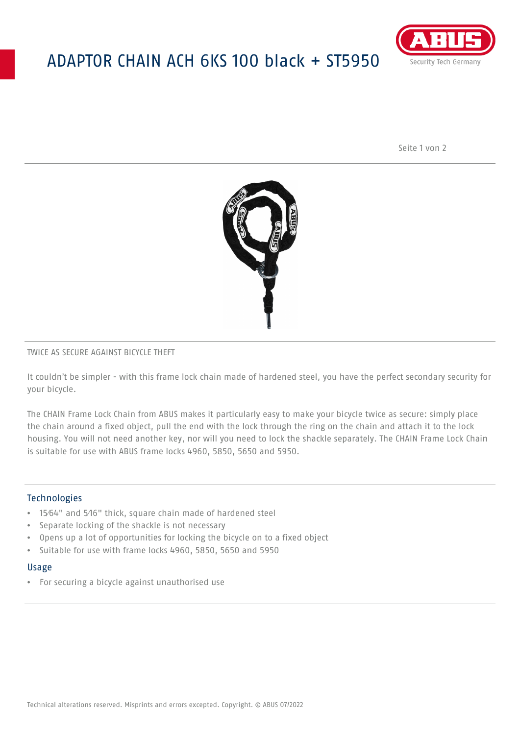# ADAPTOR CHAIN ACH 6KS 100 black + ST5950



Seite 1 von 2



## TWICE AS SECURE AGAINST BICYCLE THEFT

It couldn't be simpler - with this frame lock chain made of hardened steel, you have the perfect secondary security for your bicycle.

The CHAIN Frame Lock Chain from ABUS makes it particularly easy to make your bicycle twice as secure: simply place the chain around a fixed object, pull the end with the lock through the ring on the chain and attach it to the lock housing. You will not need another key, nor will you need to lock the shackle separately. The CHAIN Frame Lock Chain is suitable for use with ABUS frame locks 4960, 5850, 5650 and 5950.

## Technologies

- 15⁄64" and 5⁄16" thick, square chain made of hardened steel
- Separate locking of the shackle is not necessary
- Opens up a lot of opportunities for locking the bicycle on to a fixed object
- Suitable for use with frame locks 4960, 5850, 5650 and 5950

#### Usage

• For securing a bicycle against unauthorised use